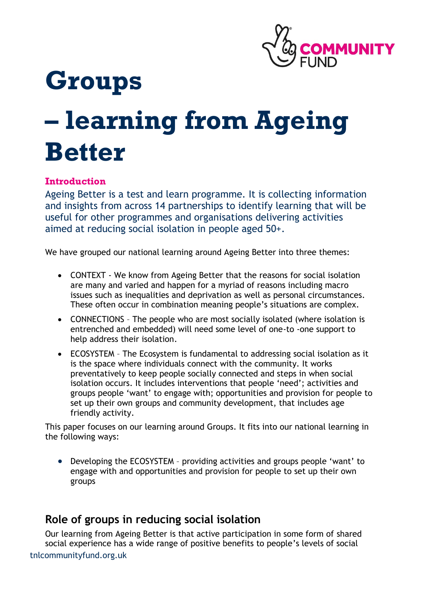

## **Groups**

# **– learning from Ageing Better**

## **Introduction**

Ageing Better is a test and learn programme. It is collecting information and insights from across 14 partnerships to identify learning that will be useful for other programmes and organisations delivering activities aimed at reducing social isolation in people aged 50+.

We have grouped our national learning around Ageing Better into three themes:

- CONTEXT We know from Ageing Better that the reasons for social isolation are many and varied and happen for a myriad of reasons including macro issues such as inequalities and deprivation as well as personal circumstances. These often occur in combination meaning people's situations are complex.
- CONNECTIONS The people who are most socially isolated (where isolation is entrenched and embedded) will need some level of one-to -one support to help address their isolation.
- ECOSYSTEM The Ecosystem is fundamental to addressing social isolation as it is the space where individuals connect with the community. It works preventatively to keep people socially connected and steps in when social isolation occurs. It includes interventions that people 'need'; activities and groups people 'want' to engage with; opportunities and provision for people to set up their own groups and community development, that includes age friendly activity.

This paper focuses on our learning around Groups. It fits into our national learning in the following ways:

• Developing the ECOSYSTEM – providing activities and groups people 'want' to engage with and opportunities and provision for people to set up their own groups

## **Role of groups in reducing social isolation**

tnlcommunityfund.org.uk Our learning from Ageing Better is that active participation in some form of shared social experience has a wide range of positive benefits to people's levels of social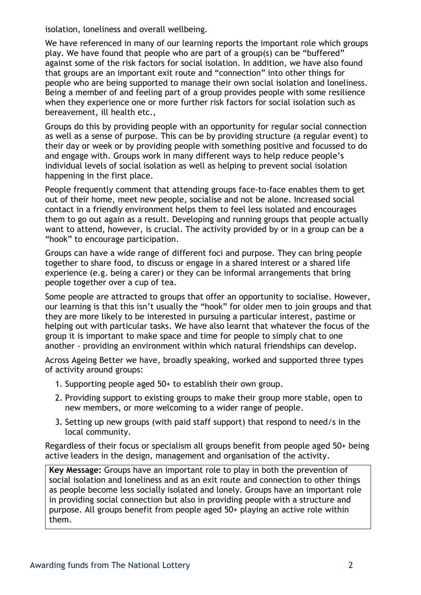isolation, loneliness and overall wellbeing.

We have referenced in many of our learning reports the important role which groups play. We have found that people who are part of a group(s) can be "buffered" against some of the risk factors for social isolation. In addition, we have also found that groups are an important exit route and "connection" into other things for people who are being supported to manage their own social isolation and loneliness. Being a member of and feeling part of a group provides people with some resilience when they experience one or more further risk factors for social isolation such as bereavement, ill health etc.,

Groups do this by providing people with an opportunity for regular social connection as well as a sense of purpose. This can be by providing structure (a regular event) to their day or week or by providing people with something positive and focussed to do and engage with. Groups work in many different ways to help reduce people's individual levels of social isolation as well as helping to prevent social isolation happening in the first place.

People frequently comment that attending groups face-to-face enables them to get out of their home, meet new people, socialise and not be alone. Increased social contact in a friendly environment helps them to feel less isolated and encourages them to go out again as a result. Developing and running groups that people actually want to attend, however, is crucial. The activity provided by or in a group can be a "hook" to encourage participation.

Groups can have a wide range of different foci and purpose. They can bring people together to share food, to discuss or engage in a shared interest or a shared life experience (e.g. being a carer) or they can be informal arrangements that bring people together over a cup of tea.

Some people are attracted to groups that offer an opportunity to socialise. However, our learning is that this isn't usually the "hook" for older men to join groups and that they are more likely to be interested in pursuing a particular interest, pastime or helping out with particular tasks. We have also learnt that whatever the focus of the group it is important to make space and time for people to simply chat to one another - providing an environment within which natural friendships can develop.

Across Ageing Better we have, broadly speaking, worked and supported three types of activity around groups:

- 1. Supporting people aged 50+ to establish their own group.
- 2. Providing support to existing groups to make their group more stable, open to new members, or more welcoming to a wider range of people.
- 3. Setting up new groups (with paid staff support) that respond to need/s in the local community.

Regardless of their focus or specialism all groups benefit from people aged 50+ being active leaders in the design, management and organisation of the activity.

**Key Message:** Groups have an important role to play in both the prevention of social isolation and loneliness and as an exit route and connection to other things as people become less socially isolated and lonely. Groups have an important role in providing social connection but also in providing people with a structure and purpose. All groups benefit from people aged 50+ playing an active role within them.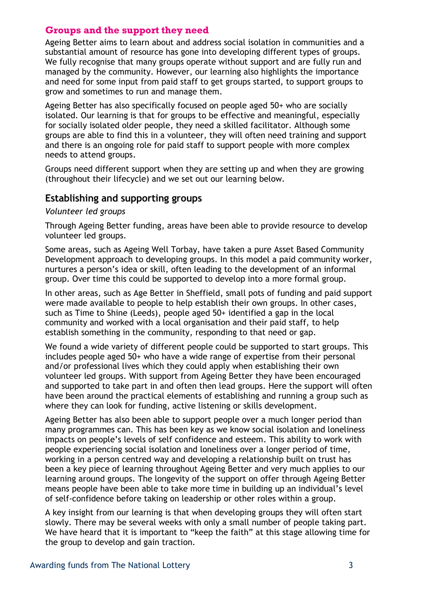#### **Groups and the support they need**

Ageing Better aims to learn about and address social isolation in communities and a substantial amount of resource has gone into developing different types of groups. We fully recognise that many groups operate without support and are fully run and managed by the community. However, our learning also highlights the importance and need for some input from paid staff to get groups started, to support groups to grow and sometimes to run and manage them.

Ageing Better has also specifically focused on people aged 50+ who are socially isolated. Our learning is that for groups to be effective and meaningful, especially for socially isolated older people, they need a skilled facilitator. Although some groups are able to find this in a volunteer, they will often need training and support and there is an ongoing role for paid staff to support people with more complex needs to attend groups.

Groups need different support when they are setting up and when they are growing (throughout their lifecycle) and we set out our learning below.

#### **Establishing and supporting groups**

#### *Volunteer led groups*

Through Ageing Better funding, areas have been able to provide resource to develop volunteer led groups.

Some areas, such as Ageing Well Torbay, have taken a pure Asset Based Community Development approach to developing groups. In this model a paid community worker, nurtures a person's idea or skill, often leading to the development of an informal group. Over time this could be supported to develop into a more formal group.

In other areas, such as Age Better in Sheffield, small pots of funding and paid support were made available to people to help establish their own groups. In other cases, such as Time to Shine (Leeds), people aged 50+ identified a gap in the local community and worked with a local organisation and their paid staff, to help establish something in the community, responding to that need or gap.

We found a wide variety of different people could be supported to start groups. This includes people aged 50+ who have a wide range of expertise from their personal and/or professional lives which they could apply when establishing their own volunteer led groups. With support from Ageing Better they have been encouraged and supported to take part in and often then lead groups. Here the support will often have been around the practical elements of establishing and running a group such as where they can look for funding, active listening or skills development.

Ageing Better has also been able to support people over a much longer period than many programmes can. This has been key as we know social isolation and loneliness impacts on people's levels of self confidence and esteem. This ability to work with people experiencing social isolation and loneliness over a longer period of time, working in a person centred way and developing a relationship built on trust has been a key piece of learning throughout Ageing Better and very much applies to our learning around groups. The longevity of the support on offer through Ageing Better means people have been able to take more time in building up an individual's level of self-confidence before taking on leadership or other roles within a group.

A key insight from our learning is that when developing groups they will often start slowly. There may be several weeks with only a small number of people taking part. We have heard that it is important to "keep the faith" at this stage allowing time for the group to develop and gain traction.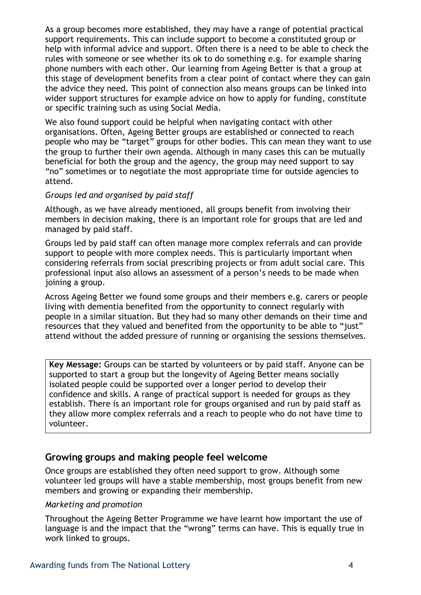As a group becomes more established, they may have a range of potential practical support requirements. This can include support to become a constituted group or help with informal advice and support. Often there is a need to be able to check the rules with someone or see whether its ok to do something e.g. for example sharing phone numbers with each other. Our learning from Ageing Better is that a group at this stage of development benefits from a clear point of contact where they can gain the advice they need. This point of connection also means groups can be linked into wider support structures for example advice on how to apply for funding, constitute or specific training such as using Social Media.

We also found support could be helpful when navigating contact with other organisations. Often, Ageing Better groups are established or connected to reach people who may be "target" groups for other bodies. This can mean they want to use the group to further their own agenda. Although in many cases this can be mutually beneficial for both the group and the agency, the group may need support to say "no" sometimes or to negotiate the most appropriate time for outside agencies to attend.

#### *Groups led and organised by paid staff*

Although, as we have already mentioned, all groups benefit from involving their members in decision making, there is an important role for groups that are led and managed by paid staff.

Groups led by paid staff can often manage more complex referrals and can provide support to people with more complex needs. This is particularly important when considering referrals from social prescribing projects or from adult social care. This professional input also allows an assessment of a person's needs to be made when joining a group.

Across Ageing Better we found some groups and their members e.g. carers or people living with dementia benefited from the opportunity to connect regularly with people in a similar situation. But they had so many other demands on their time and resources that they valued and benefited from the opportunity to be able to "just" attend without the added pressure of running or organising the sessions themselves.

**Key Message:** Groups can be started by volunteers or by paid staff. Anyone can be supported to start a group but the longevity of Ageing Better means socially isolated people could be supported over a longer period to develop their confidence and skills. A range of practical support is needed for groups as they establish. There is an important role for groups organised and run by paid staff as they allow more complex referrals and a reach to people who do not have time to volunteer.

#### **Growing groups and making people feel welcome**

Once groups are established they often need support to grow. Although some volunteer led groups will have a stable membership, most groups benefit from new members and growing or expanding their membership.

#### *Marketing and promotion*

Throughout the Ageing Better Programme we have learnt how important the use of language is and the impact that the "wrong" terms can have. This is equally true in work linked to groups.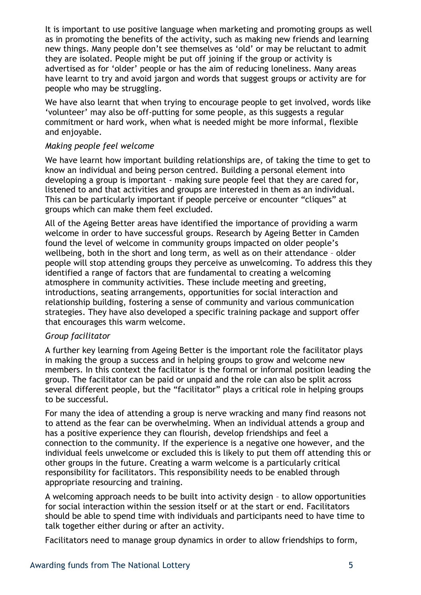It is important to use positive language when marketing and promoting groups as well as in promoting the benefits of the activity, such as making new friends and learning new things. Many people don't see themselves as 'old' or may be reluctant to admit they are isolated. People might be put off joining if the group or activity is advertised as for 'older' people or has the aim of reducing loneliness. Many areas have learnt to try and avoid jargon and words that suggest groups or activity are for people who may be struggling.

We have also learnt that when trying to encourage people to get involved, words like 'volunteer' may also be off-putting for some people, as this suggests a regular commitment or hard work, when what is needed might be more informal, flexible and enjoyable.

#### *Making people feel welcome*

We have learnt how important building relationships are, of taking the time to get to know an individual and being person centred. Building a personal element into developing a group is important - making sure people feel that they are cared for, listened to and that activities and groups are interested in them as an individual. This can be particularly important if people perceive or encounter "cliques" at groups which can make them feel excluded.

All of the Ageing Better areas have identified the importance of providing a warm welcome in order to have successful groups. Research by Ageing Better in Camden found the level of welcome in community groups impacted on older people's wellbeing, both in the short and long term, as well as on their attendance – older people will stop attending groups they perceive as unwelcoming. To address this they identified a range of factors that are fundamental to creating a welcoming atmosphere in community activities. These include meeting and greeting, introductions, seating arrangements, opportunities for social interaction and relationship building, fostering a sense of community and various communication strategies. They have also developed a specific training package and support offer that encourages this warm welcome.

#### *Group facilitator*

A further key learning from Ageing Better is the important role the facilitator plays in making the group a success and in helping groups to grow and welcome new members. In this context the facilitator is the formal or informal position leading the group. The facilitator can be paid or unpaid and the role can also be split across several different people, but the "facilitator" plays a critical role in helping groups to be successful.

For many the idea of attending a group is nerve wracking and many find reasons not to attend as the fear can be overwhelming. When an individual attends a group and has a positive experience they can flourish, develop friendships and feel a connection to the community. If the experience is a negative one however, and the individual feels unwelcome or excluded this is likely to put them off attending this or other groups in the future. Creating a warm welcome is a particularly critical responsibility for facilitators. This responsibility needs to be enabled through appropriate resourcing and training.

A welcoming approach needs to be built into activity design – to allow opportunities for social interaction within the session itself or at the start or end. Facilitators should be able to spend time with individuals and participants need to have time to talk together either during or after an activity.

Facilitators need to manage group dynamics in order to allow friendships to form,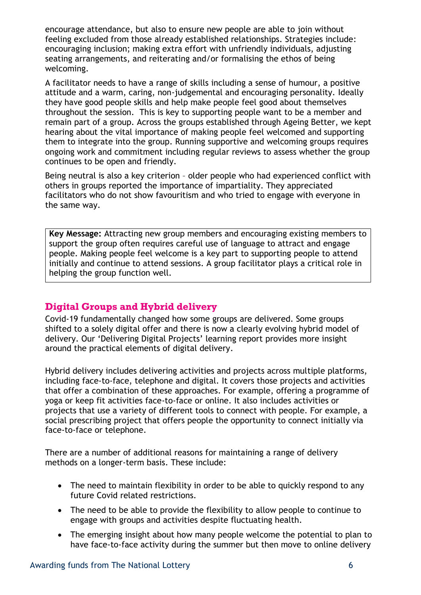encourage attendance, but also to ensure new people are able to join without feeling excluded from those already established relationships. Strategies include: encouraging inclusion; making extra effort with unfriendly individuals, adjusting seating arrangements, and reiterating and/or formalising the ethos of being welcoming.

A facilitator needs to have a range of skills including a sense of humour, a positive attitude and a warm, caring, non-judgemental and encouraging personality. Ideally they have good people skills and help make people feel good about themselves throughout the session. This is key to supporting people want to be a member and remain part of a group. Across the groups established through Ageing Better, we kept hearing about the vital importance of making people feel welcomed and supporting them to integrate into the group. Running supportive and welcoming groups requires ongoing work and commitment including regular reviews to assess whether the group continues to be open and friendly.

Being neutral is also a key criterion – older people who had experienced conflict with others in groups reported the importance of impartiality. They appreciated facilitators who do not show favouritism and who tried to engage with everyone in the same way.

**Key Message:** Attracting new group members and encouraging existing members to support the group often requires careful use of language to attract and engage people. Making people feel welcome is a key part to supporting people to attend initially and continue to attend sessions. A group facilitator plays a critical role in helping the group function well.

## **Digital Groups and Hybrid delivery**

Covid-19 fundamentally changed how some groups are delivered. Some groups shifted to a solely digital offer and there is now a clearly evolving hybrid model of delivery. Our 'Delivering Digital Projects' learning report provides more insight around the practical elements of digital delivery.

Hybrid delivery includes delivering activities and projects across multiple platforms, including face-to-face, telephone and digital. It covers those projects and activities that offer a combination of these approaches. For example, offering a programme of yoga or keep fit activities face-to-face or online. It also includes activities or projects that use a variety of different tools to connect with people. For example, a social prescribing project that offers people the opportunity to connect initially via face-to-face or telephone.

There are a number of additional reasons for maintaining a range of delivery methods on a longer-term basis. These include:

- The need to maintain flexibility in order to be able to quickly respond to any future Covid related restrictions.
- The need to be able to provide the flexibility to allow people to continue to engage with groups and activities despite fluctuating health.
- The emerging insight about how many people welcome the potential to plan to have face-to-face activity during the summer but then move to online delivery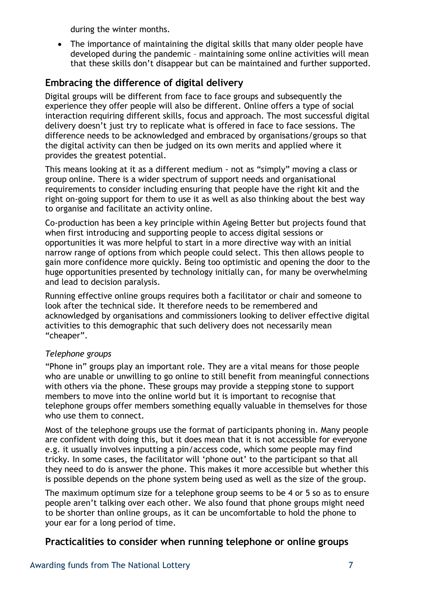during the winter months.

• The importance of maintaining the digital skills that many older people have developed during the pandemic – maintaining some online activities will mean that these skills don't disappear but can be maintained and further supported.

## **Embracing the difference of digital delivery**

Digital groups will be different from face to face groups and subsequently the experience they offer people will also be different. Online offers a type of social interaction requiring different skills, focus and approach. The most successful digital delivery doesn't just try to replicate what is offered in face to face sessions. The difference needs to be acknowledged and embraced by organisations/groups so that the digital activity can then be judged on its own merits and applied where it provides the greatest potential.

This means looking at it as a different medium - not as "simply" moving a class or group online. There is a wider spectrum of support needs and organisational requirements to consider including ensuring that people have the right kit and the right on-going support for them to use it as well as also thinking about the best way to organise and facilitate an activity online.

Co-production has been a key principle within Ageing Better but projects found that when first introducing and supporting people to access digital sessions or opportunities it was more helpful to start in a more directive way with an initial narrow range of options from which people could select. This then allows people to gain more confidence more quickly. Being too optimistic and opening the door to the huge opportunities presented by technology initially can, for many be overwhelming and lead to decision paralysis.

Running effective online groups requires both a facilitator or chair and someone to look after the technical side. It therefore needs to be remembered and acknowledged by organisations and commissioners looking to deliver effective digital activities to this demographic that such delivery does not necessarily mean "cheaper".

#### *Telephone groups*

"Phone in" groups play an important role. They are a vital means for those people who are unable or unwilling to go online to still benefit from meaningful connections with others via the phone. These groups may provide a stepping stone to support members to move into the online world but it is important to recognise that telephone groups offer members something equally valuable in themselves for those who use them to connect.

Most of the telephone groups use the format of participants phoning in. Many people are confident with doing this, but it does mean that it is not accessible for everyone e.g. it usually involves inputting a pin/access code, which some people may find tricky. In some cases, the facilitator will 'phone out' to the participant so that all they need to do is answer the phone. This makes it more accessible but whether this is possible depends on the phone system being used as well as the size of the group.

The maximum optimum size for a telephone group seems to be 4 or 5 so as to ensure people aren't talking over each other. We also found that phone groups might need to be shorter than online groups, as it can be uncomfortable to hold the phone to your ear for a long period of time.

## **Practicalities to consider when running telephone or online groups**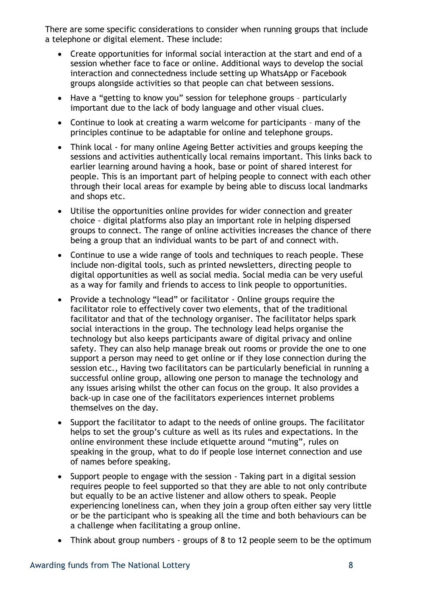There are some specific considerations to consider when running groups that include a telephone or digital element. These include:

- Create opportunities for informal social interaction at the start and end of a session whether face to face or online. Additional ways to develop the social interaction and connectedness include setting up WhatsApp or Facebook groups alongside activities so that people can chat between sessions.
- Have a "getting to know you" session for telephone groups particularly important due to the lack of body language and other visual clues.
- Continue to look at creating a warm welcome for participants many of the principles continue to be adaptable for online and telephone groups.
- Think local for many online Ageing Better activities and groups keeping the sessions and activities authentically local remains important. This links back to earlier learning around having a hook, base or point of shared interest for people. This is an important part of helping people to connect with each other through their local areas for example by being able to discuss local landmarks and shops etc.
- Utilise the opportunities online provides for wider connection and greater choice - digital platforms also play an important role in helping dispersed groups to connect. The range of online activities increases the chance of there being a group that an individual wants to be part of and connect with.
- Continue to use a wide range of tools and techniques to reach people. These include non-digital tools, such as printed newsletters, directing people to digital opportunities as well as social media. Social media can be very useful as a way for family and friends to access to link people to opportunities.
- Provide a technology "lead" or facilitator Online groups require the facilitator role to effectively cover two elements, that of the traditional facilitator and that of the technology organiser. The facilitator helps spark social interactions in the group. The technology lead helps organise the technology but also keeps participants aware of digital privacy and online safety. They can also help manage break out rooms or provide the one to one support a person may need to get online or if they lose connection during the session etc., Having two facilitators can be particularly beneficial in running a successful online group, allowing one person to manage the technology and any issues arising whilst the other can focus on the group. It also provides a back-up in case one of the facilitators experiences internet problems themselves on the day.
- Support the facilitator to adapt to the needs of online groups. The facilitator helps to set the group's culture as well as its rules and expectations. In the online environment these include etiquette around "muting", rules on speaking in the group, what to do if people lose internet connection and use of names before speaking.
- Support people to engage with the session Taking part in a digital session requires people to feel supported so that they are able to not only contribute but equally to be an active listener and allow others to speak. People experiencing loneliness can, when they join a group often either say very little or be the participant who is speaking all the time and both behaviours can be a challenge when facilitating a group online.
- Think about group numbers groups of 8 to 12 people seem to be the optimum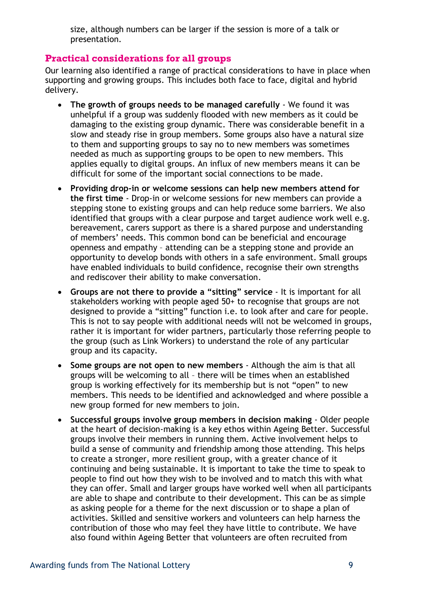size, although numbers can be larger if the session is more of a talk or presentation.

#### **Practical considerations for all groups**

Our learning also identified a range of practical considerations to have in place when supporting and growing groups. This includes both face to face, digital and hybrid delivery.

- **The growth of groups needs to be managed carefully** We found it was unhelpful if a group was suddenly flooded with new members as it could be damaging to the existing group dynamic. There was considerable benefit in a slow and steady rise in group members. Some groups also have a natural size to them and supporting groups to say no to new members was sometimes needed as much as supporting groups to be open to new members. This applies equally to digital groups. An influx of new members means it can be difficult for some of the important social connections to be made.
- **Providing drop-in or welcome sessions can help new members attend for the first time** - Drop-in or welcome sessions for new members can provide a stepping stone to existing groups and can help reduce some barriers. We also identified that groups with a clear purpose and target audience work well e.g. bereavement, carers support as there is a shared purpose and understanding of members' needs. This common bond can be beneficial and encourage openness and empathy – attending can be a stepping stone and provide an opportunity to develop bonds with others in a safe environment. Small groups have enabled individuals to build confidence, recognise their own strengths and rediscover their ability to make conversation.
- **Groups are not there to provide a "sitting" service** It is important for all stakeholders working with people aged 50+ to recognise that groups are not designed to provide a "sitting" function i.e. to look after and care for people. This is not to say people with additional needs will not be welcomed in groups, rather it is important for wider partners, particularly those referring people to the group (such as Link Workers) to understand the role of any particular group and its capacity.
- **Some groups are not open to new members** Although the aim is that all groups will be welcoming to all – there will be times when an established group is working effectively for its membership but is not "open" to new members. This needs to be identified and acknowledged and where possible a new group formed for new members to join.
- **Successful groups involve group members in decision making** Older people at the heart of decision-making is a key ethos within Ageing Better. Successful groups involve their members in running them. Active involvement helps to build a sense of community and friendship among those attending. This helps to create a stronger, more resilient group, with a greater chance of it continuing and being sustainable. It is important to take the time to speak to people to find out how they wish to be involved and to match this with what they can offer. Small and larger groups have worked well when all participants are able to shape and contribute to their development. This can be as simple as asking people for a theme for the next discussion or to shape a plan of activities. Skilled and sensitive workers and volunteers can help harness the contribution of those who may feel they have little to contribute. We have also found within Ageing Better that volunteers are often recruited from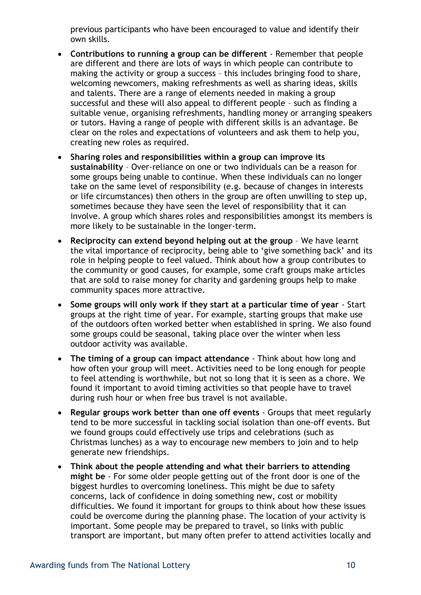previous participants who have been encouraged to value and identify their own skills.

- **Contributions to running a group can be different** Remember that people are different and there are lots of ways in which people can contribute to making the activity or group a success – this includes bringing food to share, welcoming newcomers, making refreshments as well as sharing ideas, skills and talents. There are a range of elements needed in making a group successful and these will also appeal to different people – such as finding a suitable venue, organising refreshments, handling money or arranging speakers or tutors. Having a range of people with different skills is an advantage. Be clear on the roles and expectations of volunteers and ask them to help you, creating new roles as required.
- **Sharing roles and responsibilities within a group can improve its sustainability** – Over-reliance on one or two individuals can be a reason for some groups being unable to continue. When these individuals can no longer take on the same level of responsibility (e.g. because of changes in interests or life circumstances) then others in the group are often unwilling to step up, sometimes because they have seen the level of responsibility that it can involve. A group which shares roles and responsibilities amongst its members is more likely to be sustainable in the longer-term.
- **Reciprocity can extend beyond helping out at the group** We have learnt the vital importance of reciprocity, being able to 'give something back' and its role in helping people to feel valued. Think about how a group contributes to the community or good causes, for example, some craft groups make articles that are sold to raise money for charity and gardening groups help to make community spaces more attractive.
- **Some groups will only work if they start at a particular time of year** Start groups at the right time of year. For example, starting groups that make use of the outdoors often worked better when established in spring. We also found some groups could be seasonal, taking place over the winter when less outdoor activity was available.
- **The timing of a group can impact attendance** Think about how long and how often your group will meet. Activities need to be long enough for people to feel attending is worthwhile, but not so long that it is seen as a chore. We found it important to avoid timing activities so that people have to travel during rush hour or when free bus travel is not available.
- **Regular groups work better than one off events** Groups that meet regularly tend to be more successful in tackling social isolation than one-off events. But we found groups could effectively use trips and celebrations (such as Christmas lunches) as a way to encourage new members to join and to help generate new friendships.
- **Think about the people attending and what their barriers to attending might be** - For some older people getting out of the front door is one of the biggest hurdles to overcoming loneliness. This might be due to safety concerns, lack of confidence in doing something new, cost or mobility difficulties. We found it important for groups to think about how these issues could be overcome during the planning phase. The location of your activity is important. Some people may be prepared to travel, so links with public transport are important, but many often prefer to attend activities locally and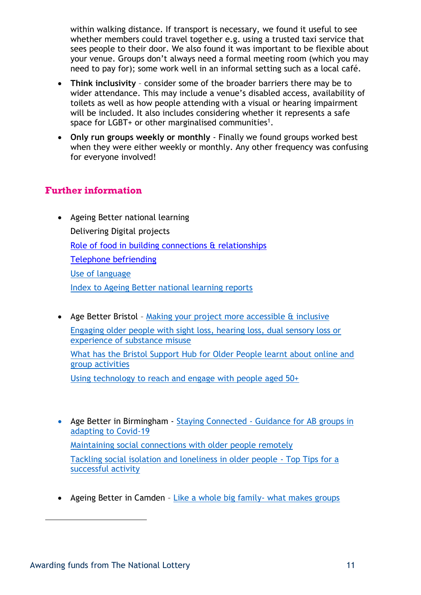within walking distance. If transport is necessary, we found it useful to see whether members could travel together e.g. using a trusted taxi service that sees people to their door. We also found it was important to be flexible about your venue. Groups don't always need a formal meeting room (which you may need to pay for); some work well in an informal setting such as a local café.

- **Think inclusivity** consider some of the broader barriers there may be to wider attendance. This may include a venue's disabled access, availability of toilets as well as how people attending with a visual or hearing impairment will be included. It also includes considering whether it represents a safe space for LGBT+ or other marginalised communities<sup>1</sup>.
- **Only run groups weekly or monthly** Finally we found groups worked best when they were either weekly or monthly. Any other frequency was confusing for everyone involved!

#### **Further information**

- Ageing Better national learning Delivering Digital projects [Role of food in building connections & relationships](https://www.tnlcommunityfund.org.uk/media/documents/ageing-better/Ageing-Better-Role-of-Food-in-Building-Connections-and-Relationships.pdf?mtime=20210909104358&focal=none) [Telephone befriending](https://www.tnlcommunityfund.org.uk/media/documents/ageing-better/Ageing-Better-Telephone-befriending.pdf?mtime=20210616091812&focal=none) [Use of language](https://www.tnlcommunityfund.org.uk/media/documents/ageing-better/Ageing_better_Use_of_language.pdf?mtime=20200812094847&focal=none) [Index to Ageing Better national learning reports](https://www.tnlcommunityfund.org.uk/media/documents/ageing-better/Ageing-Better-National-Learning-report.pdf?mtime=20210820101220&focal=none)
- Age Better Bristol [Making your project more accessible & inclusive](http://bristolageingbetter.org.uk/userfiles/files/Accessibility%20and%20Inclusivity(3).pdf) [Engaging older people with sight loss, hearing loss, dual sensory loss or](http://bristolageingbetter.org.uk/userfiles/files/Inclusive%20Communities%20-%20Engaging%20older%20people%20with%20sight%20loss%2C%20hearing%20loss%2C%20dual%20sensory%20loss%20or%20experience%20of%20substance%20misuse.pdf)  [experience of substance misuse](http://bristolageingbetter.org.uk/userfiles/files/Inclusive%20Communities%20-%20Engaging%20older%20people%20with%20sight%20loss%2C%20hearing%20loss%2C%20dual%20sensory%20loss%20or%20experience%20of%20substance%20misuse.pdf) [What has the Bristol Support Hub for Older People learnt about online and](http://bristolageingbetter.org.uk/userfiles/files/Learning%20report%20-%20Online%20and%20telephone%20group%20activities.pdf)  [group activities](http://bristolageingbetter.org.uk/userfiles/files/Learning%20report%20-%20Online%20and%20telephone%20group%20activities.pdf) [Using technology to reach and engage with people aged 50+](http://bristolageingbetter.org.uk/userfiles/files/BAB%20Learning%20Report_%20Technology.pdf)
- Age Better in Birmingham Staying Connected [Guidance for AB groups in](https://www.ageingbetterinbirmingham.co.uk/media/attachments/2020/09/24/ab-guidance-sep-2020-v1.pdf)  [adapting to Covid-19](https://www.ageingbetterinbirmingham.co.uk/media/attachments/2020/09/24/ab-guidance-sep-2020-v1.pdf) [Maintaining social connections with older people remotely](https://www.ageingbetterinbirmingham.co.uk/media/attachments/2020/06/09/birmingham-ageing-better-learning-maintaining-social-connections-2020.pdf) [Tackling social isolation and loneliness in older people -](https://www.ageingbetterinbirmingham.co.uk/media/attachments/2019/04/24/top-tips-for-a-successful-activity.pdf) Top Tips for a [successful activity](https://www.ageingbetterinbirmingham.co.uk/media/attachments/2019/04/24/top-tips-for-a-successful-activity.pdf)
- Ageing Better in Camden [Like a whole big family-](https://bit.ly/32CSEa4) what makes groups